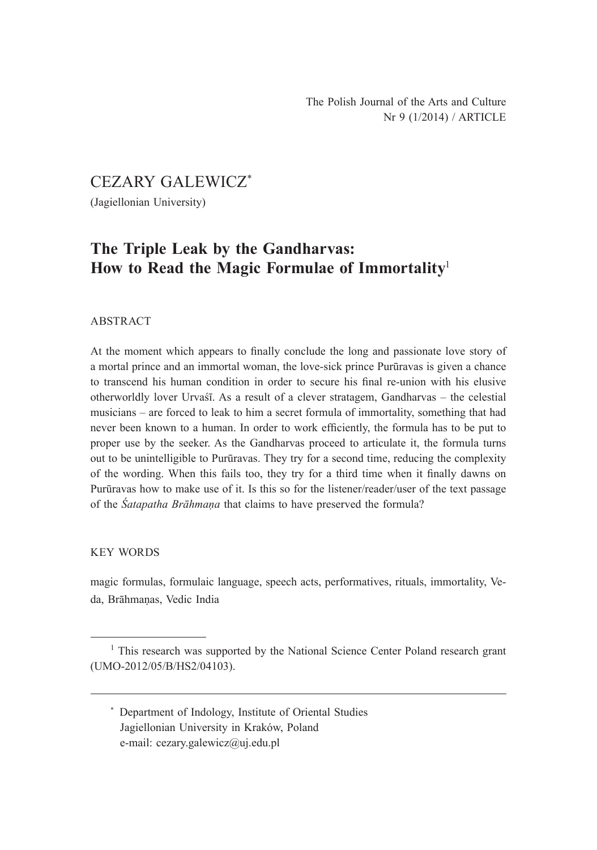CEZARY GALEWICZ\*

(Jagiellonian University)

# **The Triple Leak by the Gandharvas: How to Read the Magic Formulae of Immortality**<sup>1</sup>

#### ABSTRACT

At the moment which appears to finally conclude the long and passionate love story of a mortal prince and an immortal woman, the love-sick prince Purūravas is given a chance to transcend his human condition in order to secure his final re-union with his elusive otherworldly lover Urvaśī. As a result of a clever stratagem, Gandharvas – the celestial musicians – are forced to leak to him a secret formula of immortality, something that had never been known to a human. In order to work efficiently, the formula has to be put to proper use by the seeker. As the Gandharvas proceed to articulate it, the formula turns out to be unintelligible to Purūravas. They try for a second time, reducing the complexity of the wording. When this fails too, they try for a third time when it finally dawns on Purūravas how to make use of it. Is this so for the listener/reader/user of the text passage of the *Śatapatha Brāhmaṇa* that claims to have preserved the formula?

#### KEY WORDS

magic formulas, formulaic language, speech acts, performatives, rituals, immortality, Veda, Brāhmaṇas, Vedic India

<sup>&</sup>lt;sup>1</sup> This research was supported by the National Science Center Poland research grant (UMO-2012/05/B/HS2/04103).

<sup>\*</sup> Department of Indology, Institute of Oriental Studies Jagiellonian University in Kraków, Poland e-mail: cezary.galewicz@uj.edu.pl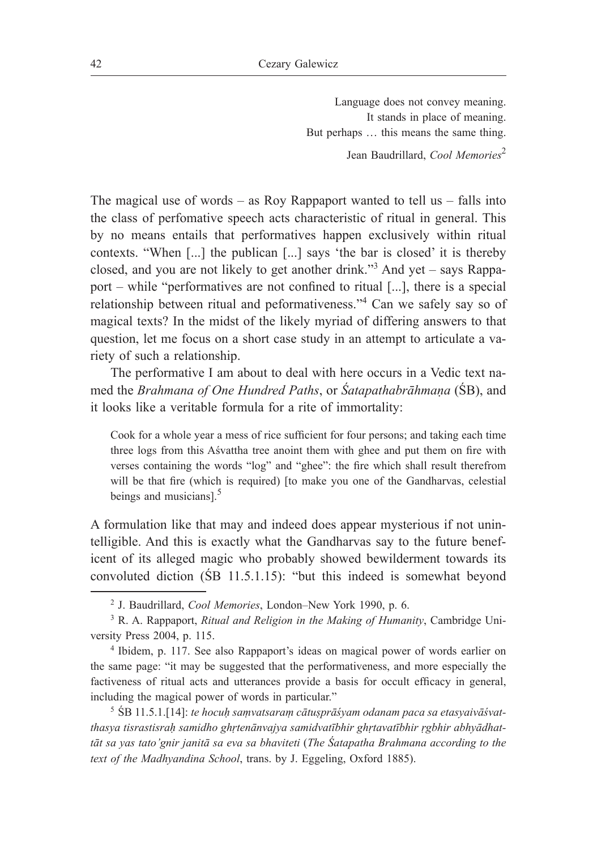Language does not convey meaning. It stands in place of meaning. But perhaps … this means the same thing. Jean Baudrillard, *Cool Memories*<sup>2</sup>

The magical use of words – as Roy Rappaport wanted to tell us – falls into the class of perfomative speech acts characteristic of ritual in general. This by no means entails that performatives happen exclusively within ritual contexts. "When [...] the publican [...] says 'the bar is closed' it is thereby closed, and you are not likely to get another drink."<sup>3</sup> And yet – says Rappaport – while "performatives are not confined to ritual [...], there is a special relationship between ritual and peformativeness."<sup>4</sup> Can we safely say so of magical texts? In the midst of the likely myriad of differing answers to that question, let me focus on a short case study in an attempt to articulate a variety of such a relationship.

The performative I am about to deal with here occurs in a Vedic text named the *Brahmana of One Hundred Paths*, or *Śatapathabrāhmaṇa* (ŚB), and it looks like a veritable formula for a rite of immortality:

Cook for a whole year a mess of rice sufficient for four persons; and taking each time three logs from this Aśvattha tree anoint them with ghee and put them on fire with verses containing the words "log" and "ghee": the fire which shall result therefrom will be that fire (which is required) [to make you one of the Gandharvas, celestial beings and musicians].<sup>5</sup>

A formulation like that may and indeed does appear mysterious if not unintelligible. And this is exactly what the Gandharvas say to the future beneficent of its alleged magic who probably showed bewilderment towards its convoluted diction (ŚB 11.5.1.15): "but this indeed is somewhat beyond

<sup>5</sup> ŚB 11.5.1.[14]: *te hocuḥ saṃvatsaraṃ cātuṣprāśyam odanam paca sa etasyaivāśvatthasya tisrastisraḥ samidho ghṛtenānvajya samidvatībhir ghṛtavatībhir ṛgbhir abhyādhattāt sa yas tato'gnir janitā sa eva sa bhaviteti* (*The Śatapatha Brahmana according to the text of the Madhyandina School*, trans. by J. Eggeling, Oxford 1885).

<sup>&</sup>lt;sup>2</sup> J. Baudrillard, *Cool Memories*, London-New York 1990, p. 6.

<sup>3</sup> R. A. Rappaport, *Ritual and Religion in the Making of Humanity*, Cambridge University Press 2004, p. 115.

<sup>4</sup> Ibidem, p. 117. See also Rappaport's ideas on magical power of words earlier on the same page: "it may be suggested that the performativeness, and more especially the factiveness of ritual acts and utterances provide a basis for occult efficacy in general, including the magical power of words in particular."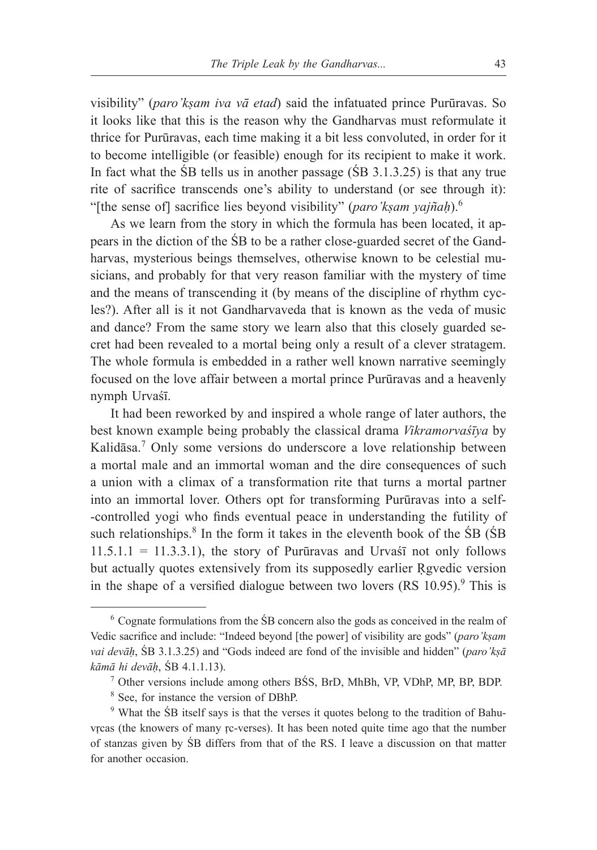visibility" (*paro'kṣam iva vā etad*) said the infatuated prince Purūravas. So it looks like that this is the reason why the Gandharvas must reformulate it thrice for Purūravas, each time making it a bit less convoluted, in order for it to become intelligible (or feasible) enough for its recipient to make it work. In fact what the ŚB tells us in another passage (ŚB 3.1.3.25) is that any true rite of sacrifice transcends one's ability to understand (or see through it): "[the sense of] sacrifice lies beyond visibility" (*paro'kṣam yajñaḥ*).<sup>6</sup>

As we learn from the story in which the formula has been located, it appears in the diction of the ŚB to be a rather close-guarded secret of the Gandharvas, mysterious beings themselves, otherwise known to be celestial musicians, and probably for that very reason familiar with the mystery of time and the means of transcending it (by means of the discipline of rhythm cycles?). After all is it not Gandharvaveda that is known as the veda of music and dance? From the same story we learn also that this closely guarded secret had been revealed to a mortal being only a result of a clever stratagem. The whole formula is embedded in a rather well known narrative seemingly focused on the love affair between a mortal prince Purūravas and a heavenly nymph Urvaśī.

It had been reworked by and inspired a whole range of later authors, the best known example being probably the classical drama *Vikramorvaśīya* by Kalidāsa.<sup>7</sup> Only some versions do underscore a love relationship between a mortal male and an immortal woman and the dire consequences of such a union with a climax of a transformation rite that turns a mortal partner into an immortal lover. Others opt for transforming Purūravas into a self- -controlled yogi who finds eventual peace in understanding the futility of such relationships.<sup>8</sup> In the form it takes in the eleventh book of the  $\overline{S}B$  ( $\overline{S}B$ )  $11.5.1.1 = 11.3.3.1$ , the story of Purūravas and Urvas $\overline{a}$  not only follows but actually quotes extensively from its supposedly earlier Rgvedic version in the shape of a versified dialogue between two lovers  $(RS 10.95)$ .<sup>9</sup> This is

<sup>6</sup> Cognate formulations from the ŚB concern also the gods as conceived in the realm of Vedic sacrifice and include: "Indeed beyond [the power] of visibility are gods" (*paro'kṣam vai devāḥ*, ŚB 3.1.3.25) and "Gods indeed are fond of the invisible and hidden" (*paro'kṣā kāmā hi devāḥ*, ŚB 4.1.1.13).

<sup>7</sup> Other versions include among others BŚS, BrD, MhBh, VP, VDhP, MP, BP, BDP.

<sup>8</sup> See, for instance the version of DBhP.

<sup>9</sup> What the ŚB itself says is that the verses it quotes belong to the tradition of Bahuvṛcas (the knowers of many ṛc-verses). It has been noted quite time ago that the number of stanzas given by ŚB differs from that of the RS. I leave a discussion on that matter for another occasion.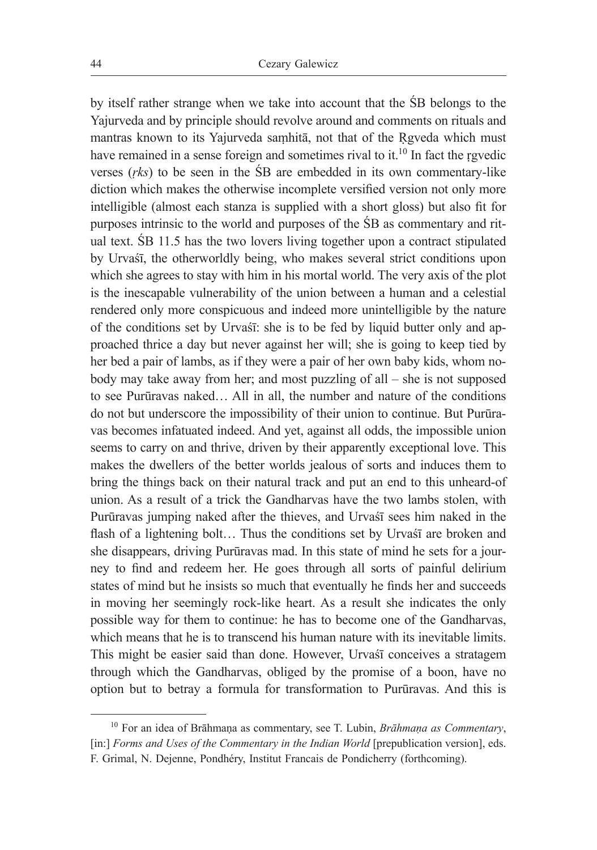by itself rather strange when we take into account that the ŚB belongs to the Yajurveda and by principle should revolve around and comments on rituals and mantras known to its Yajurveda saṃhitā, not that of the Ṛgveda which must have remained in a sense foreign and sometimes rival to it.<sup>10</sup> In fact the rgvedic verses (*ṛks*) to be seen in the ŚB are embedded in its own commentary-like diction which makes the otherwise incomplete versified version not only more intelligible (almost each stanza is supplied with a short gloss) but also fit for purposes intrinsic to the world and purposes of the ŚB as commentary and ritual text. ŚB 11.5 has the two lovers living together upon a contract stipulated by Urvaśī, the otherworldly being, who makes several strict conditions upon which she agrees to stay with him in his mortal world. The very axis of the plot is the inescapable vulnerability of the union between a human and a celestial rendered only more conspicuous and indeed more unintelligible by the nature of the conditions set by Urvaśī: she is to be fed by liquid butter only and approached thrice a day but never against her will; she is going to keep tied by her bed a pair of lambs, as if they were a pair of her own baby kids, whom nobody may take away from her; and most puzzling of all – she is not supposed to see Purūravas naked… All in all, the number and nature of the conditions do not but underscore the impossibility of their union to continue. But Purūravas becomes infatuated indeed. And yet, against all odds, the impossible union seems to carry on and thrive, driven by their apparently exceptional love. This makes the dwellers of the better worlds jealous of sorts and induces them to bring the things back on their natural track and put an end to this unheard-of union. As a result of a trick the Gandharvas have the two lambs stolen, with Purūravas jumping naked after the thieves, and Urvaśī sees him naked in the flash of a lightening bolt... Thus the conditions set by Urvast are broken and she disappears, driving Purūravas mad. In this state of mind he sets for a journey to find and redeem her. He goes through all sorts of painful delirium states of mind but he insists so much that eventually he finds her and succeeds in moving her seemingly rock-like heart. As a result she indicates the only possible way for them to continue: he has to become one of the Gandharvas, which means that he is to transcend his human nature with its inevitable limits. This might be easier said than done. However, Urvaśī conceives a stratagem through which the Gandharvas, obliged by the promise of a boon, have no option but to betray a formula for transformation to Purūravas. And this is

<sup>&</sup>lt;sup>10</sup> For an idea of Brāhmana as commentary, see T. Lubin, *Brāhmana as Commentary*, [in:] *Forms and Uses of the Commentary in the Indian World* [prepublication version], eds. F. Grimal, N. Dejenne, Pondhéry, Institut Francais de Pondicherry (forthcoming).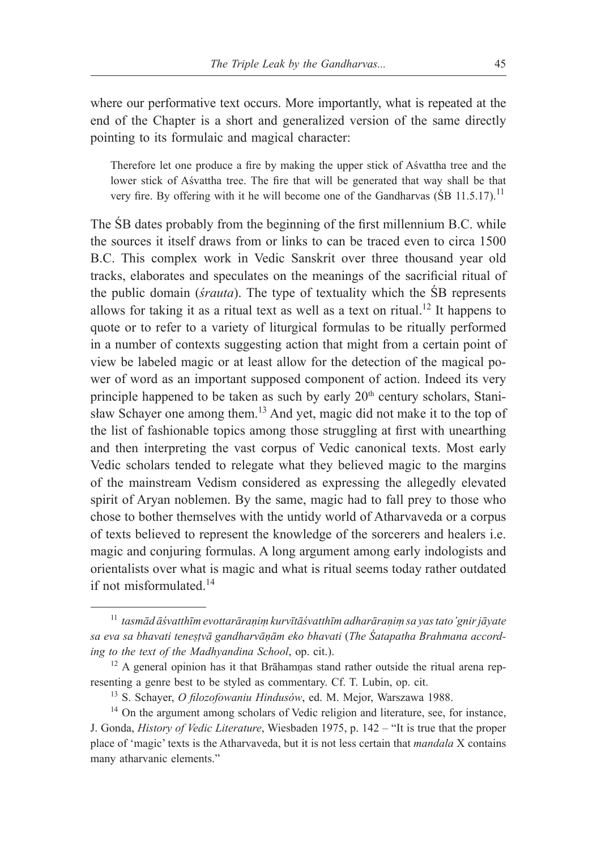where our performative text occurs. More importantly, what is repeated at the end of the Chapter is a short and generalized version of the same directly pointing to its formulaic and magical character:

Therefore let one produce a fire by making the upper stick of Aśvattha tree and the lower stick of Aśvattha tree. The fire that will be generated that way shall be that very fire. By offering with it he will become one of the Gandharvas (SB 11.5.17).<sup>11</sup>

The ŚB dates probably from the beginning of the first millennium B.C. while the sources it itself draws from or links to can be traced even to circa 1500 B.C. This complex work in Vedic Sanskrit over three thousand year old tracks, elaborates and speculates on the meanings of the sacrificial ritual of the public domain (*śrauta*). The type of textuality which the ŚB represents allows for taking it as a ritual text as well as a text on ritual.<sup>12</sup> It happens to quote or to refer to a variety of liturgical formulas to be ritually performed in a number of contexts suggesting action that might from a certain point of view be labeled magic or at least allow for the detection of the magical power of word as an important supposed component of action. Indeed its very principle happened to be taken as such by early 20<sup>th</sup> century scholars, Stanisław Schayer one among them.13 And yet, magic did not make it to the top of the list of fashionable topics among those struggling at first with unearthing and then interpreting the vast corpus of Vedic canonical texts. Most early Vedic scholars tended to relegate what they believed magic to the margins of the mainstream Vedism considered as expressing the allegedly elevated spirit of Aryan noblemen. By the same, magic had to fall prey to those who chose to bother themselves with the untidy world of Atharvaveda or a corpus of texts believed to represent the knowledge of the sorcerers and healers i.e. magic and conjuring formulas. A long argument among early indologists and orientalists over what is magic and what is ritual seems today rather outdated if not misformulated.<sup>14</sup>

<sup>11</sup> *tasmād āśvatthīm evottarāraṇiṃ kurvītāśvatthīm adharāraṇiṃ sa yas tato'gnir jāyate sa eva sa bhavati teneṣṭvā gandharvāṇām eko bhavati* (*The Śatapatha Brahmana according to the text of the Madhyandina School*, op. cit.).

<sup>&</sup>lt;sup>12</sup> A general opinion has it that Brāhamṇas stand rather outside the ritual arena representing a genre best to be styled as commentary. Cf. T. Lubin, op. cit.

<sup>13</sup> S. Schayer, *O filozofowaniu Hindusów*, ed. M. Mejor, Warszawa 1988.

<sup>&</sup>lt;sup>14</sup> On the argument among scholars of Vedic religion and literature, see, for instance, J. Gonda, *History of Vedic Literature*, Wiesbaden 1975, p. 142 – "It is true that the proper place of 'magic' texts is the Atharvaveda, but it is not less certain that *mandala* X contains many atharvanic elements."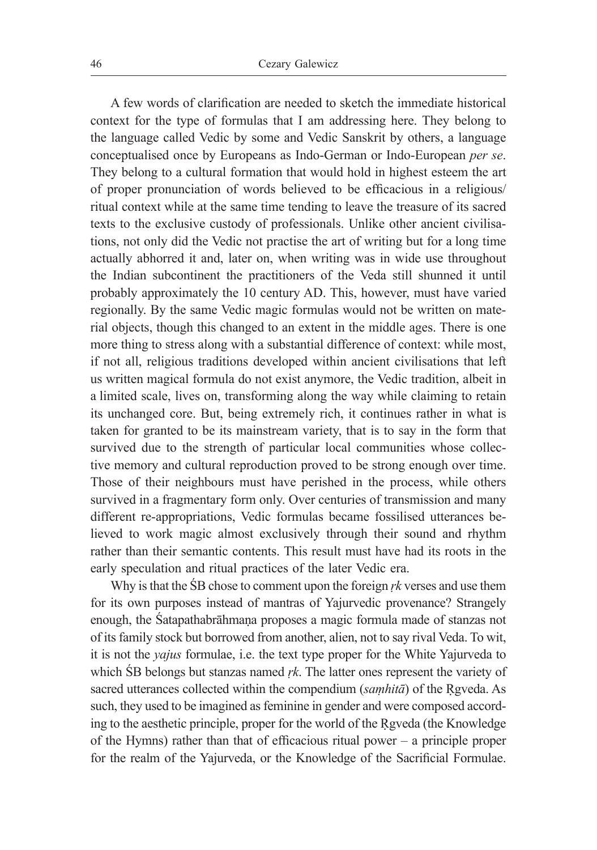A few words of clarification are needed to sketch the immediate historical context for the type of formulas that I am addressing here. They belong to the language called Vedic by some and Vedic Sanskrit by others, a language conceptualised once by Europeans as Indo-German or Indo-European *per se*. They belong to a cultural formation that would hold in highest esteem the art of proper pronunciation of words believed to be efficacious in a religious/ ritual context while at the same time tending to leave the treasure of its sacred texts to the exclusive custody of professionals. Unlike other ancient civilisations, not only did the Vedic not practise the art of writing but for a long time actually abhorred it and, later on, when writing was in wide use throughout the Indian subcontinent the practitioners of the Veda still shunned it until probably approximately the 10 century AD. This, however, must have varied regionally. By the same Vedic magic formulas would not be written on material objects, though this changed to an extent in the middle ages. There is one more thing to stress along with a substantial difference of context: while most, if not all, religious traditions developed within ancient civilisations that left us written magical formula do not exist anymore, the Vedic tradition, albeit in a limited scale, lives on, transforming along the way while claiming to retain its unchanged core. But, being extremely rich, it continues rather in what is taken for granted to be its mainstream variety, that is to say in the form that survived due to the strength of particular local communities whose collective memory and cultural reproduction proved to be strong enough over time. Those of their neighbours must have perished in the process, while others survived in a fragmentary form only. Over centuries of transmission and many different re-appropriations, Vedic formulas became fossilised utterances believed to work magic almost exclusively through their sound and rhythm rather than their semantic contents. This result must have had its roots in the early speculation and ritual practices of the later Vedic era.

Why is that the ŚB chose to comment upon the foreign *ṛk* verses and use them for its own purposes instead of mantras of Yajurvedic provenance? Strangely enough, the Śatapathabrāhmaṇa proposes a magic formula made of stanzas not of its family stock but borrowed from another, alien, not to say rival Veda. To wit, it is not the *yajus* formulae, i.e. the text type proper for the White Yajurveda to which ŚB belongs but stanzas named *ṛk*. The latter ones represent the variety of sacred utterances collected within the compendium (*samhitā*) of the Rgveda. As such, they used to be imagined as feminine in gender and were composed according to the aesthetic principle, proper for the world of the Ṛgveda (the Knowledge of the Hymns) rather than that of efficacious ritual power – a principle proper for the realm of the Yajurveda, or the Knowledge of the Sacrificial Formulae.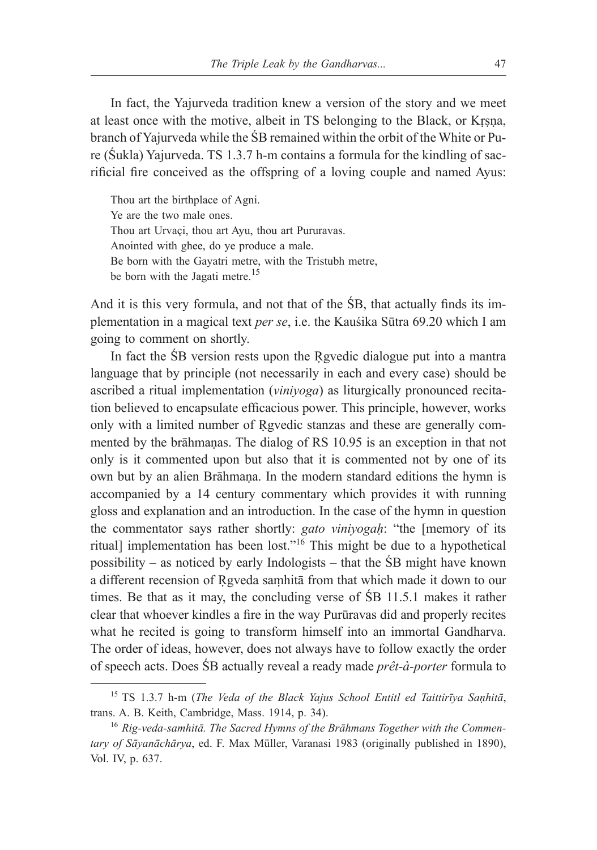In fact, the Yajurveda tradition knew a version of the story and we meet at least once with the motive, albeit in TS belonging to the Black, or Kṛṣṇa, branch of Yajurveda while the ŚB remained within the orbit of the White or Pure (Śukla) Yajurveda. TS 1.3.7 h-m contains a formula for the kindling of sacrificial fire conceived as the offspring of a loving couple and named Ayus:

Thou art the birthplace of Agni. Ye are the two male ones. Thou art Urvaçi, thou art Ayu, thou art Pururavas. Anointed with ghee, do ye produce a male. Be born with the Gayatri metre, with the Tristubh metre, be born with the Jagati metre.<sup>15</sup>

And it is this very formula, and not that of the ŚB, that actually finds its implementation in a magical text *per se*, i.e. the Kauśika Sūtra 69.20 which I am going to comment on shortly.

In fact the SB version rests upon the Rgyedic dialogue put into a mantra language that by principle (not necessarily in each and every case) should be ascribed a ritual implementation (*viniyoga*) as liturgically pronounced recitation believed to encapsulate efficacious power. This principle, however, works only with a limited number of Ṛgvedic stanzas and these are generally commented by the brāhmaṇas. The dialog of RS 10.95 is an exception in that not only is it commented upon but also that it is commented not by one of its own but by an alien Brāhmaṇa. In the modern standard editions the hymn is accompanied by a 14 century commentary which provides it with running gloss and explanation and an introduction. In the case of the hymn in question the commentator says rather shortly: *gato viniyogaḥ*: "the [memory of its ritual] implementation has been lost."16 This might be due to a hypothetical possibility – as noticed by early Indologists – that the ŚB might have known a different recension of Rgveda samhitā from that which made it down to our times. Be that as it may, the concluding verse of ŚB 11.5.1 makes it rather clear that whoever kindles a fire in the way Purūravas did and properly recites what he recited is going to transform himself into an immortal Gandharva. The order of ideas, however, does not always have to follow exactly the order of speech acts. Does ŚB actually reveal a ready made *prêt-à-porter* formula to

<sup>15</sup> TS 1.3.7 h-m (*The Veda of the Black Yajus School Entitl ed Taittirīya Saṇhitā*, trans. A. B. Keith, Cambridge, Mass. 1914, p. 34).

<sup>16</sup> *Rig-veda-samhitā. The Sacred Hymns of the Brāhmans Together with the Commentary of Sāyanāchārya*, ed. F. Max Müller, Varanasi 1983 (originally published in 1890), Vol. IV, p. 637.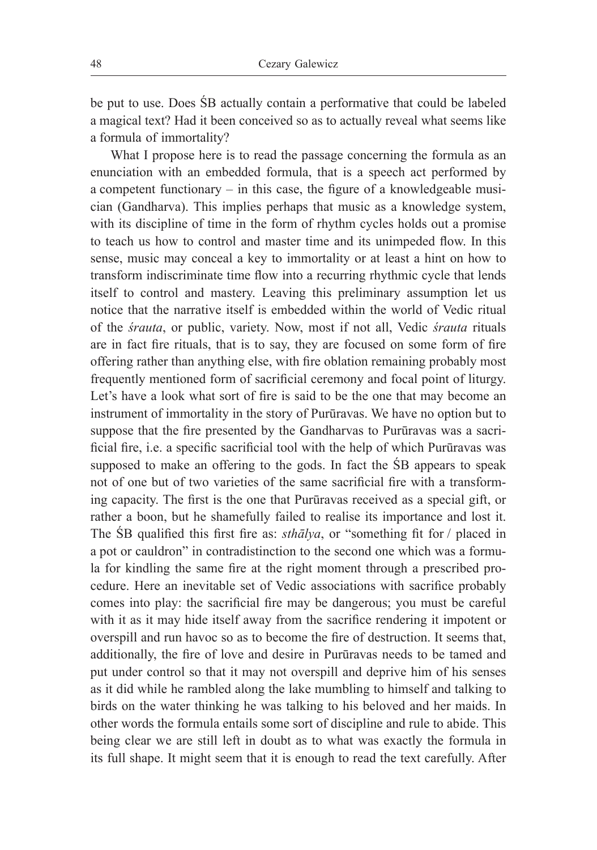be put to use. Does ŚB actually contain a performative that could be labeled a magical text? Had it been conceived so as to actually reveal what seems like a formula of immortality?

What I propose here is to read the passage concerning the formula as an enunciation with an embedded formula, that is a speech act performed by a competent functionary – in this case, the figure of a knowledgeable musician (Gandharva). This implies perhaps that music as a knowledge system, with its discipline of time in the form of rhythm cycles holds out a promise to teach us how to control and master time and its unimpeded flow. In this sense, music may conceal a key to immortality or at least a hint on how to transform indiscriminate time flow into a recurring rhythmic cycle that lends itself to control and mastery. Leaving this preliminary assumption let us notice that the narrative itself is embedded within the world of Vedic ritual of the *śrauta*, or public, variety. Now, most if not all, Vedic *śrauta* rituals are in fact fire rituals, that is to say, they are focused on some form of fire offering rather than anything else, with fire oblation remaining probably most frequently mentioned form of sacrificial ceremony and focal point of liturgy. Let's have a look what sort of fire is said to be the one that may become an instrument of immortality in the story of Purūravas. We have no option but to suppose that the fire presented by the Gandharvas to Purūravas was a sacrificial fire, i.e. a specific sacrificial tool with the help of which Purūravas was supposed to make an offering to the gods. In fact the ŚB appears to speak not of one but of two varieties of the same sacrificial fire with a transforming capacity. The first is the one that Purūravas received as a special gift, or rather a boon, but he shamefully failed to realise its importance and lost it. The ŚB qualified this first fire as: *sthālya*, or "something fit for / placed in a pot or cauldron" in contradistinction to the second one which was a formula for kindling the same fire at the right moment through a prescribed procedure. Here an inevitable set of Vedic associations with sacrifice probably comes into play: the sacrificial fire may be dangerous; you must be careful with it as it may hide itself away from the sacrifice rendering it impotent or overspill and run havoc so as to become the fire of destruction. It seems that, additionally, the fire of love and desire in Purūravas needs to be tamed and put under control so that it may not overspill and deprive him of his senses as it did while he rambled along the lake mumbling to himself and talking to birds on the water thinking he was talking to his beloved and her maids. In other words the formula entails some sort of discipline and rule to abide. This being clear we are still left in doubt as to what was exactly the formula in its full shape. It might seem that it is enough to read the text carefully. After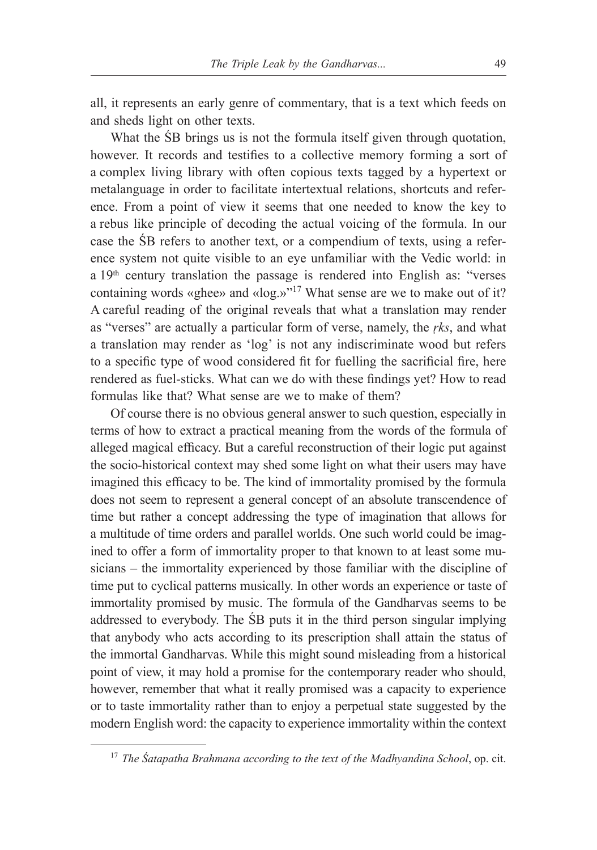all, it represents an early genre of commentary, that is a text which feeds on and sheds light on other texts.

What the ŚB brings us is not the formula itself given through quotation, however. It records and testifies to a collective memory forming a sort of a complex living library with often copious texts tagged by a hypertext or metalanguage in order to facilitate intertextual relations, shortcuts and reference. From a point of view it seems that one needed to know the key to a rebus like principle of decoding the actual voicing of the formula. In our case the ŚB refers to another text, or a compendium of texts, using a reference system not quite visible to an eye unfamiliar with the Vedic world: in a 19<sup>th</sup> century translation the passage is rendered into English as: "verses containing words «ghee» and «log.»"17 What sense are we to make out of it? A careful reading of the original reveals that what a translation may render as "verses" are actually a particular form of verse, namely, the *ṛks*, and what a translation may render as 'log' is not any indiscriminate wood but refers to a specific type of wood considered fit for fuelling the sacrificial fire, here rendered as fuel-sticks. What can we do with these findings yet? How to read formulas like that? What sense are we to make of them?

Of course there is no obvious general answer to such question, especially in terms of how to extract a practical meaning from the words of the formula of alleged magical efficacy. But a careful reconstruction of their logic put against the socio-historical context may shed some light on what their users may have imagined this efficacy to be. The kind of immortality promised by the formula does not seem to represent a general concept of an absolute transcendence of time but rather a concept addressing the type of imagination that allows for a multitude of time orders and parallel worlds. One such world could be imagined to offer a form of immortality proper to that known to at least some musicians – the immortality experienced by those familiar with the discipline of time put to cyclical patterns musically. In other words an experience or taste of immortality promised by music. The formula of the Gandharvas seems to be addressed to everybody. The ŚB puts it in the third person singular implying that anybody who acts according to its prescription shall attain the status of the immortal Gandharvas. While this might sound misleading from a historical point of view, it may hold a promise for the contemporary reader who should, however, remember that what it really promised was a capacity to experience or to taste immortality rather than to enjoy a perpetual state suggested by the modern English word: the capacity to experience immortality within the context

<sup>17</sup> *The Śatapatha Brahmana according to the text of the Madhyandina School*, op. cit.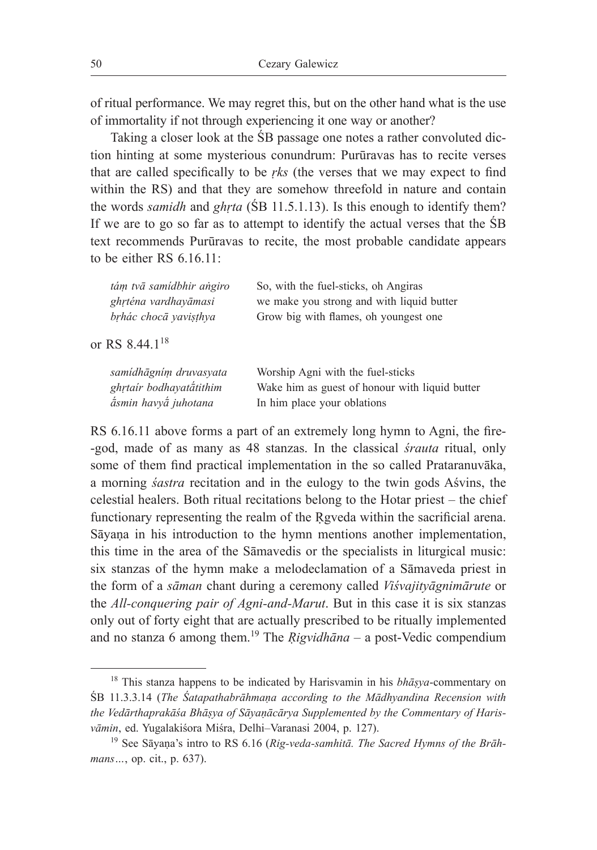of ritual performance. We may regret this, but on the other hand what is the use of immortality if not through experiencing it one way or another?

Taking a closer look at the ŚB passage one notes a rather convoluted diction hinting at some mysterious conundrum: Purūravas has to recite verses that are called specifically to be *ṛks* (the verses that we may expect to find within the RS) and that they are somehow threefold in nature and contain the words *samidh* and *ghṛta* (ŚB 11.5.1.13). Is this enough to identify them? If we are to go so far as to attempt to identify the actual verses that the ŚB text recommends Purūravas to recite, the most probable candidate appears to be either RS  $6.16.11$ :

| tám tvā samídbhir angiro   | So, with the fuel-sticks, oh Angiras           |
|----------------------------|------------------------------------------------|
| ghrténa vardhayāmasi       | we make you strong and with liquid butter      |
| brhác chocā yavişthya      | Grow big with flames, oh youngest one          |
| or RS 8.44.1 <sup>18</sup> |                                                |
| samídhāgním druvasyata     | Worship Agni with the fuel-sticks              |
| ghrtaír bodhayatátithim    | Wake him as guest of honour with liquid butter |
| ásmin havyá juhotana       | In him place your oblations                    |

RS 6.16.11 above forms a part of an extremely long hymn to Agni, the fire- -god, made of as many as 48 stanzas. In the classical *śrauta* ritual, only some of them find practical implementation in the so called Prataranuvāka, a morning *śastra* recitation and in the eulogy to the twin gods Aśvins, the celestial healers. Both ritual recitations belong to the Hotar priest – the chief functionary representing the realm of the Rgyeda within the sacrificial arena. Sāyaṇa in his introduction to the hymn mentions another implementation, this time in the area of the Sāmavedis or the specialists in liturgical music: six stanzas of the hymn make a melodeclamation of a Sāmaveda priest in the form of a *sāman* chant during a ceremony called *Viśvajityāgnimārute* or the *All-conquering pair of Agni-and-Marut*. But in this case it is six stanzas only out of forty eight that are actually prescribed to be ritually implemented and no stanza 6 among them.19 The *Ṛigvidhāna* – a post-Vedic compendium

 $18$  This stanza happens to be indicated by Harisvamin in his *bhāsya*-commentary on ŚB 11.3.3.14 (*The Śatapathabrāhmaṇa according to the Mādhyandina Recension with the Vedārthaprakāśa Bhāṣya of Sāyaṇācārya Supplemented by the Commentary of Harisvāmin*, ed. Yugalakiśora Miśra, Delhi–Varanasi 2004, p. 127).

<sup>19</sup> See Sāyaṇa's intro to RS 6.16 (*Rig-veda-samhitā. The Sacred Hymns of the Brāhmans…*, op. cit., p. 637).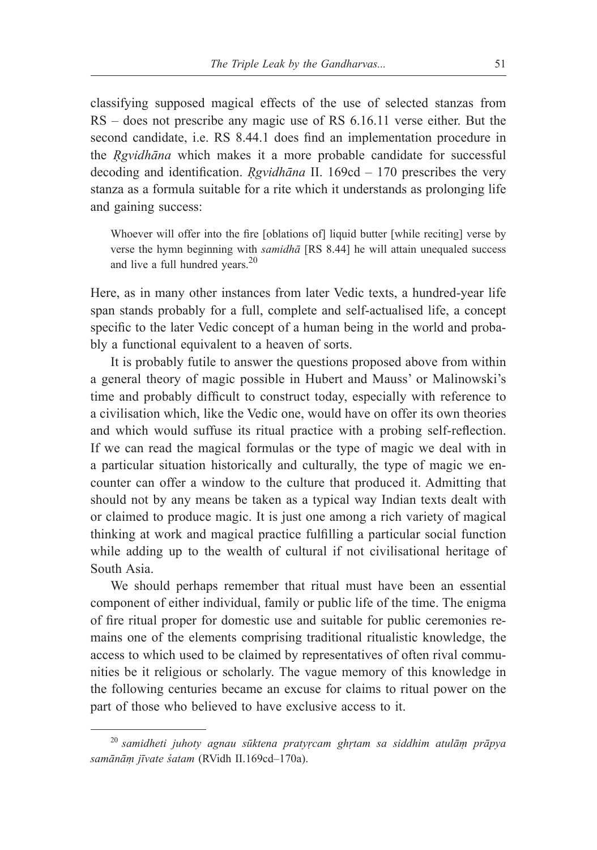classifying supposed magical effects of the use of selected stanzas from RS – does not prescribe any magic use of RS 6.16.11 verse either. But the second candidate, i.e. RS 8.44.1 does find an implementation procedure in the *Ṛgvidhāna* which makes it a more probable candidate for successful decoding and identification. *Ṛgvidhāna* II. 169cd – 170 prescribes the very stanza as a formula suitable for a rite which it understands as prolonging life and gaining success:

Whoever will offer into the fire [oblations of] liquid butter [while reciting] verse by verse the hymn beginning with *samidhā* [RS 8.44] he will attain unequaled success and live a full hundred years.<sup>20</sup>

Here, as in many other instances from later Vedic texts, a hundred-year life span stands probably for a full, complete and self-actualised life, a concept specific to the later Vedic concept of a human being in the world and probably a functional equivalent to a heaven of sorts.

It is probably futile to answer the questions proposed above from within a general theory of magic possible in Hubert and Mauss' or Malinowski's time and probably difficult to construct today, especially with reference to a civilisation which, like the Vedic one, would have on offer its own theories and which would suffuse its ritual practice with a probing self-reflection. If we can read the magical formulas or the type of magic we deal with in a particular situation historically and culturally, the type of magic we encounter can offer a window to the culture that produced it. Admitting that should not by any means be taken as a typical way Indian texts dealt with or claimed to produce magic. It is just one among a rich variety of magical thinking at work and magical practice fulfilling a particular social function while adding up to the wealth of cultural if not civilisational heritage of South Asia.

We should perhaps remember that ritual must have been an essential component of either individual, family or public life of the time. The enigma of fire ritual proper for domestic use and suitable for public ceremonies remains one of the elements comprising traditional ritualistic knowledge, the access to which used to be claimed by representatives of often rival communities be it religious or scholarly. The vague memory of this knowledge in the following centuries became an excuse for claims to ritual power on the part of those who believed to have exclusive access to it.

<sup>20</sup> *samidheti juhoty agnau sūktena pratyṛcam ghṛtam sa siddhim atulāṃ prāpya samānāṃ jīvate śatam* (RVidh II.169cd–170a).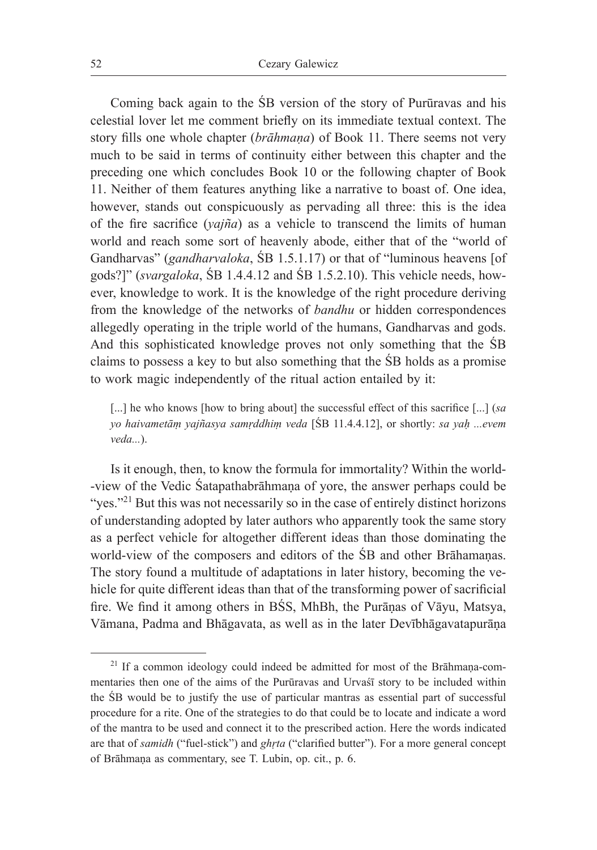Coming back again to the ŚB version of the story of Purūravas and his celestial lover let me comment briefly on its immediate textual context. The story fills one whole chapter (*brāhmaṇa*) of Book 11. There seems not very much to be said in terms of continuity either between this chapter and the preceding one which concludes Book 10 or the following chapter of Book 11. Neither of them features anything like a narrative to boast of. One idea, however, stands out conspicuously as pervading all three: this is the idea of the fire sacrifice (*yajña*) as a vehicle to transcend the limits of human world and reach some sort of heavenly abode, either that of the "world of Gandharvas" (*gandharvaloka*, ŚB 1.5.1.17) or that of "luminous heavens [of gods?]" (*svargaloka*, ŚB 1.4.4.12 and ŚB 1.5.2.10). This vehicle needs, however, knowledge to work. It is the knowledge of the right procedure deriving from the knowledge of the networks of *bandhu* or hidden correspondences allegedly operating in the triple world of the humans, Gandharvas and gods. And this sophisticated knowledge proves not only something that the ŚB claims to possess a key to but also something that the ŚB holds as a promise to work magic independently of the ritual action entailed by it:

[...] he who knows [how to bring about] the successful effect of this sacrifice [...] (*sa yo haivametāṃ yajñasya samṛddhiṃ veda* [ŚB 11.4.4.12], or shortly: *sa yaḥ ...evem veda...*).

Is it enough, then, to know the formula for immortality? Within the world- -view of the Vedic Śatapathabrāhmaṇa of yore, the answer perhaps could be "yes."<sup>21</sup> But this was not necessarily so in the case of entirely distinct horizons of understanding adopted by later authors who apparently took the same story as a perfect vehicle for altogether different ideas than those dominating the world-view of the composers and editors of the ŚB and other Brāhamaṇas. The story found a multitude of adaptations in later history, becoming the vehicle for quite different ideas than that of the transforming power of sacrificial fire. We find it among others in BŚS, MhBh, the Purāṇas of Vāyu, Matsya, Vāmana, Padma and Bhāgavata, as well as in the later Devībhāgavatapurāṇa

<sup>&</sup>lt;sup>21</sup> If a common ideology could indeed be admitted for most of the Brāhmaṇa-commentaries then one of the aims of the Purūravas and Urvaśī story to be included within the ŚB would be to justify the use of particular mantras as essential part of successful procedure for a rite. One of the strategies to do that could be to locate and indicate a word of the mantra to be used and connect it to the prescribed action. Here the words indicated are that of *samidh* ("fuel-stick") and *ghṛta* ("clarified butter"). For a more general concept of Brāhmaṇa as commentary, see T. Lubin, op. cit., p. 6.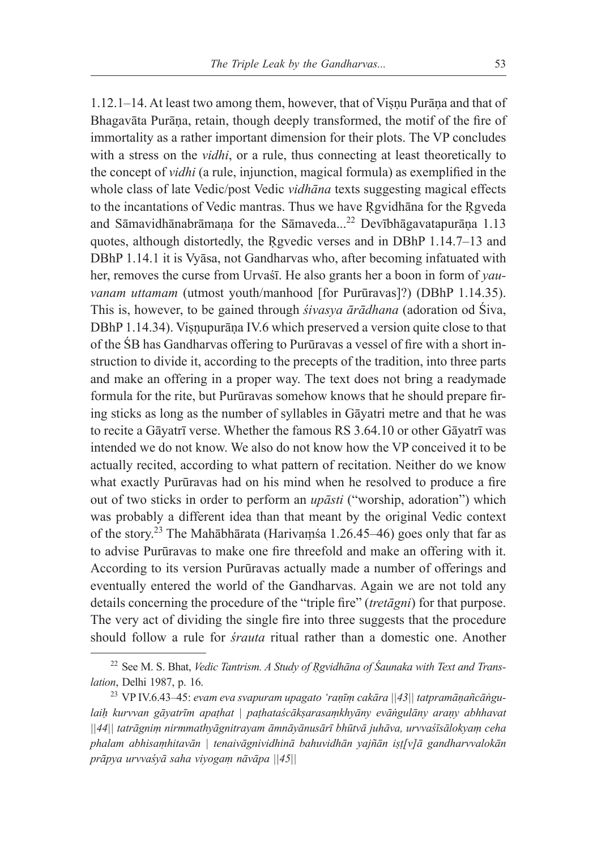1.12.1–14. At least two among them, however, that of Viṣṇu Purāṇa and that of Bhagavāta Purāṇa, retain, though deeply transformed, the motif of the fire of immortality as a rather important dimension for their plots. The VP concludes with a stress on the *vidhi*, or a rule, thus connecting at least theoretically to the concept of *vidhi* (a rule, injunction, magical formula) as exemplified in the whole class of late Vedic/post Vedic *vidhāna* texts suggesting magical effects to the incantations of Vedic mantras. Thus we have Rgvidhana for the Rgveda and Sāmavidhānabrāmana for the Sāmaveda...<sup>22</sup> Devībhāgavatapurāna 1.13 quotes, although distortedly, the Ṛgvedic verses and in DBhP 1.14.7–13 and DBhP 1.14.1 it is Vyāsa, not Gandharvas who, after becoming infatuated with her, removes the curse from Urvaśī. He also grants her a boon in form of *yauvanam uttamam* (utmost youth/manhood [for Purūravas]?) (DBhP 1.14.35). This is, however, to be gained through *śivasya ārādhana* (adoration od Śiva, DBhP 1.14.34). Visnupurāna IV.6 which preserved a version quite close to that of the ŚB has Gandharvas offering to Purūravas a vessel of fire with a short instruction to divide it, according to the precepts of the tradition, into three parts and make an offering in a proper way. The text does not bring a readymade formula for the rite, but Purūravas somehow knows that he should prepare firing sticks as long as the number of syllables in Gāyatri metre and that he was to recite a Gāyatrī verse. Whether the famous RS 3.64.10 or other Gāyatrī was intended we do not know. We also do not know how the VP conceived it to be actually recited, according to what pattern of recitation. Neither do we know what exactly Purūravas had on his mind when he resolved to produce a fire out of two sticks in order to perform an *upāsti* ("worship, adoration") which was probably a different idea than that meant by the original Vedic context of the story.<sup>23</sup> The Mahābhārata (Harivaṃśa 1.26.45–46) goes only that far as to advise Purūravas to make one fire threefold and make an offering with it. According to its version Purūravas actually made a number of offerings and eventually entered the world of the Gandharvas. Again we are not told any details concerning the procedure of the "triple fire" (*tretāgni*) for that purpose. The very act of dividing the single fire into three suggests that the procedure should follow a rule for *śrauta* ritual rather than a domestic one. Another

<sup>22</sup> See M. S. Bhat, *Vedic Tantrism. A Study of Ṛgvidhāna of Śaunaka with Text and Translation*, Delhi 1987, p. 16.

<sup>23</sup> VP IV.6.43–45: *evam eva svapuram upagato 'raṇīṃ cakāra ||43|| tatpramāṇañcāṅgulaiḥ kurvvan gāyatrīm apaṭhat | paṭhataścākṣarasaṃkhyāny evāṅgulāny araṇy abhhavat ||44|| tatrāgniṃ nirmmathyāgnitrayam āmnāyānusārī bhūtvā juhāva, urvvaśīsālokyaṃ ceha phalam abhisaṃhitavān | tenaivāgnividhinā bahuvidhān yajñān iṣṭ[v]ā gandharvvalokān prāpya urvvaśyā saha viyogaṃ nāvāpa ||45||*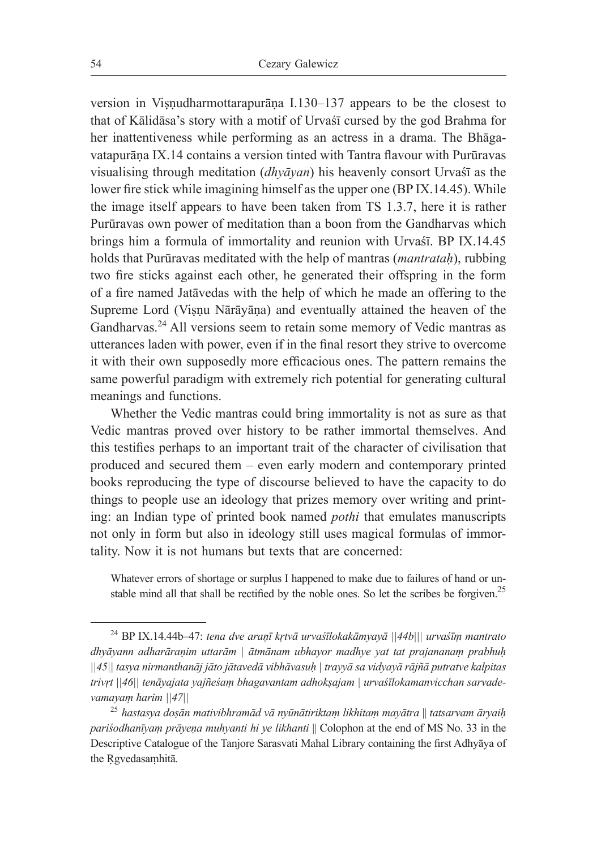version in Viṣṇudharmottarapurāṇa I.130–137 appears to be the closest to that of Kālidāsa's story with a motif of Urvaśī cursed by the god Brahma for her inattentiveness while performing as an actress in a drama. The Bhāgavatapurāṇa IX.14 contains a version tinted with Tantra flavour with Purūravas visualising through meditation (*dhyāyan*) his heavenly consort Urvaśī as the lower fire stick while imagining himself as the upper one (BP IX.14.45). While the image itself appears to have been taken from TS 1.3.7, here it is rather Purūravas own power of meditation than a boon from the Gandharvas which brings him a formula of immortality and reunion with Urvaśī. BP IX.14.45 holds that Purūravas meditated with the help of mantras (*mantrataḥ*), rubbing two fire sticks against each other, he generated their offspring in the form of a fire named Jatāvedas with the help of which he made an offering to the Supreme Lord (Viṣṇu Nārāyāṇa) and eventually attained the heaven of the Gandharvas.24 All versions seem to retain some memory of Vedic mantras as utterances laden with power, even if in the final resort they strive to overcome it with their own supposedly more efficacious ones. The pattern remains the same powerful paradigm with extremely rich potential for generating cultural meanings and functions.

Whether the Vedic mantras could bring immortality is not as sure as that Vedic mantras proved over history to be rather immortal themselves. And this testifies perhaps to an important trait of the character of civilisation that produced and secured them – even early modern and contemporary printed books reproducing the type of discourse believed to have the capacity to do things to people use an ideology that prizes memory over writing and printing: an Indian type of printed book named *pothi* that emulates manuscripts not only in form but also in ideology still uses magical formulas of immortality. Now it is not humans but texts that are concerned:

Whatever errors of shortage or surplus I happened to make due to failures of hand or unstable mind all that shall be rectified by the noble ones. So let the scribes be forgiven.<sup>25</sup>

<sup>24</sup> BP IX.14.44b–47: *tena dve araṇī kṛtvā urvaśīlokakāmyayā ||44b||| urvaśīṃ mantrato dhyāyann adharāraṇim uttarām | ātmānam ubhayor madhye yat tat prajananaṃ prabhuḥ ||45|| tasya nirmanthanāj jāto jātavedā vibhāvasuḥ | trayyā sa vidyayā rājñā putratve kalpitas trivṛt ||46|| tenāyajata yajñeśaṃ bhagavantam adhokṣajam | urvaśīlokamanvicchan sarvadevamayaṃ harim ||47||*

<sup>25</sup> *hastasya doṣān mativibhramād vā nyūnātiriktaṃ likhitaṃ mayātra* || *tatsarvam āryaiḥ pariśodhanīyaṃ prāyeṇa muhyanti hi ye likhanti* || Colophon at the end of MS No. 33 in the Descriptive Catalogue of the Tanjore Sarasvati Mahal Library containing the first Adhyāya of the Rgvedasamhitā.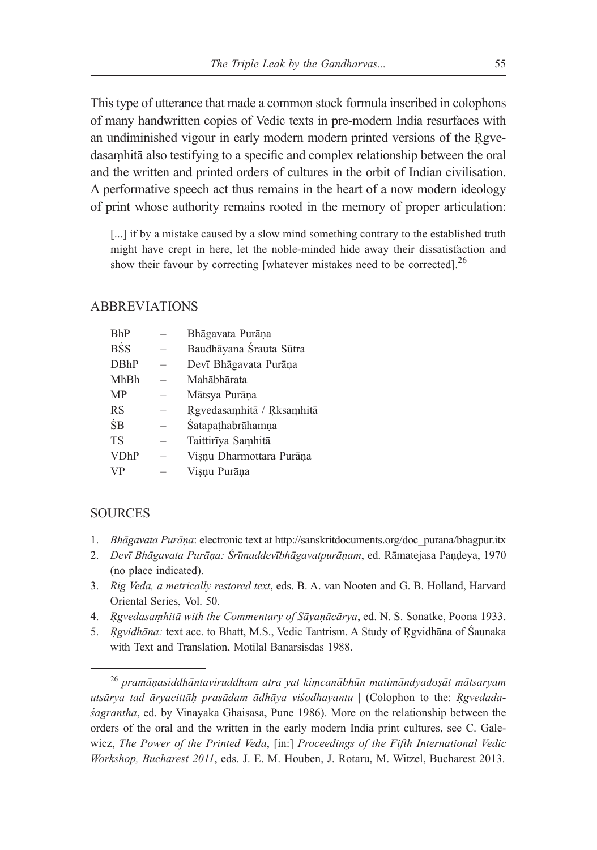This type of utterance that made a common stock formula inscribed in colophons of many handwritten copies of Vedic texts in pre-modern India resurfaces with an undiminished vigour in early modern modern printed versions of the Rgvedasaṃhitā also testifying to a specific and complex relationship between the oral and the written and printed orders of cultures in the orbit of Indian civilisation. A performative speech act thus remains in the heart of a now modern ideology of print whose authority remains rooted in the memory of proper articulation:

[...] if by a mistake caused by a slow mind something contrary to the established truth might have crept in here, let the noble-minded hide away their dissatisfaction and show their favour by correcting [whatever mistakes need to be corrected].<sup>26</sup>

### ABBREVIATIONS

| Bhāgavata Purāna          |
|---------------------------|
| Baudhāyana Śrauta Sūtra   |
| Devī Bhāgavata Purāņa     |
| Mahābhārata               |
| Mātsya Purāna             |
| Rgvedasamhitā / Rksamhitā |
| Śatapathabrāhamna         |
| Taittirīya Samhitā        |
| Visnu Dharmottara Purāņa  |
| Visnu Purāna              |
|                           |

## **SOURCES**

- 1. *Bhāgavata Purāṇa*: electronic text at http://sanskritdocuments.org/doc\_purana/bhagpur.itx
- 2. *Devī Bhāgavata Purāṇa: Śrīmaddevībhāgavatpurāṇam*, ed. Rāmatejasa Paṇḍeya, 1970 (no place indicated).
- 3. *Rig Veda, a metrically restored text*, eds. B. A. van Nooten and G. B. Holland, Harvard Oriental Series, Vol. 50.
- 4. *Ŗgvedasaṃhitā with the Commentary of Sāyaṇācārya*, ed. N. S. Sonatke, Poona 1933.
- 5. *Ṛgvidhāna:* text acc. to Bhatt, M.S., Vedic Tantrism. A Study of Ṛgvidhāna of Śaunaka with Text and Translation, Motilal Banarsisdas 1988.

<sup>26</sup> *pramāṇasiddhāntaviruddham atra yat kiṃcanābhūn matimāndyadoṣāt mātsaryam utsārya tad āryacittāḥ prasādam ādhāya viśodhayantu* | (Colophon to the: *Ṛgvedadaśagrantha*, ed. by Vinayaka Ghaisasa, Pune 1986). More on the relationship between the orders of the oral and the written in the early modern India print cultures, see C. Galewicz, *The Power of the Printed Veda*, [in:] *Proceedings of the Fifth International Vedic Workshop, Bucharest 2011*, eds. J. E. M. Houben, J. Rotaru, M. Witzel, Bucharest 2013.